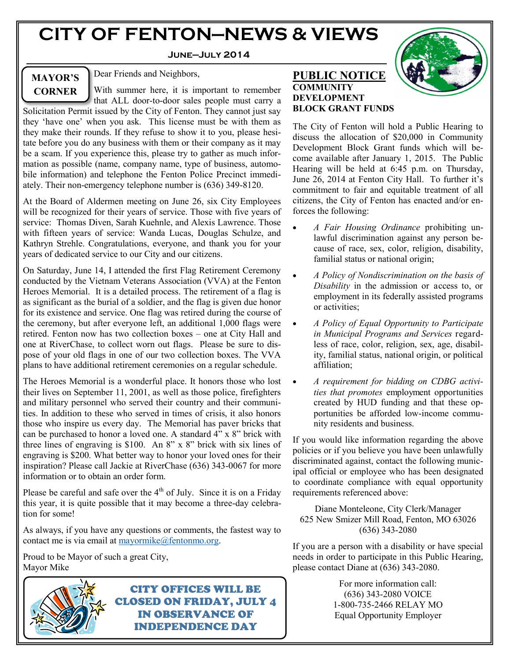# **CITY OF FENTON—NEWS & VIEWS**

#### **June—July 2014**

# **MAYOR'S CORNER**

Dear Friends and Neighbors,

With summer here, it is important to remember that ALL door-to-door sales people must carry a

Solicitation Permit issued by the City of Fenton. They cannot just say they 'have one' when you ask. This license must be with them as they make their rounds. If they refuse to show it to you, please hesitate before you do any business with them or their company as it may be a scam. If you experience this, please try to gather as much information as possible (name, company name, type of business, automobile information) and telephone the Fenton Police Precinct immediately. Their non-emergency telephone number is (636) 349-8120.

At the Board of Aldermen meeting on June 26, six City Employees will be recognized for their years of service. Those with five years of service: Thomas Diven, Sarah Kuehnle, and Alexis Lawrence. Those with fifteen years of service: Wanda Lucas, Douglas Schulze, and Kathryn Strehle. Congratulations, everyone, and thank you for your years of dedicated service to our City and our citizens.

On Saturday, June 14, I attended the first Flag Retirement Ceremony conducted by the Vietnam Veterans Association (VVA) at the Fenton Heroes Memorial. It is a detailed process. The retirement of a flag is as significant as the burial of a soldier, and the flag is given due honor for its existence and service. One flag was retired during the course of the ceremony, but after everyone left, an additional 1,000 flags were retired. Fenton now has two collection boxes – one at City Hall and one at RiverChase, to collect worn out flags. Please be sure to dispose of your old flags in one of our two collection boxes. The VVA plans to have additional retirement ceremonies on a regular schedule.

The Heroes Memorial is a wonderful place. It honors those who lost their lives on September 11, 2001, as well as those police, firefighters and military personnel who served their country and their communities. In addition to these who served in times of crisis, it also honors those who inspire us every day. The Memorial has paver bricks that can be purchased to honor a loved one. A standard 4" x 8" brick with three lines of engraving is \$100. An 8" x 8" brick with six lines of engraving is \$200. What better way to honor your loved ones for their inspiration? Please call Jackie at RiverChase (636) 343-0067 for more information or to obtain an order form.

Please be careful and safe over the  $4<sup>th</sup>$  of July. Since it is on a Friday this year, it is quite possible that it may become a three-day celebration for some!

As always, if you have any questions or comments, the fastest way to contact me is via email at [mayormike@fentonmo.org.](mailto:mayormike@fentonmo.org)

Proud to be Mayor of such a great City, Mayor Mike



CITY OFFICES WILL BE CLOSED ON FRIDAY, JULY 4 IN OBSERVANCE OF INDEPENDENCE DAY



#### **PUBLIC NOTICE COMMUNITY DEVELOPMENT BLOCK GRANT FUNDS**

The City of Fenton will hold a Public Hearing to discuss the allocation of \$20,000 in Community Development Block Grant funds which will become available after January 1, 2015. The Public Hearing will be held at 6:45 p.m. on Thursday, June 26, 2014 at Fenton City Hall. To further it's commitment to fair and equitable treatment of all citizens, the City of Fenton has enacted and/or enforces the following:

- *A Fair Housing Ordinance* prohibiting unlawful discrimination against any person because of race, sex, color, religion, disability, familial status or national origin;
- *A Policy of Nondiscrimination on the basis of Disability* in the admission or access to, or employment in its federally assisted programs or activities;
- *A Policy of Equal Opportunity to Participate in Municipal Programs and Services* regardless of race, color, religion, sex, age, disability, familial status, national origin, or political affiliation;
- *A requirement for bidding on CDBG activities that promotes* employment opportunities created by HUD funding and that these opportunities be afforded low-income community residents and business.

If you would like information regarding the above policies or if you believe you have been unlawfully discriminated against, contact the following municipal official or employee who has been designated to coordinate compliance with equal opportunity requirements referenced above:

Diane Monteleone, City Clerk/Manager 625 New Smizer Mill Road, Fenton, MO 63026 (636) 343-2080

If you are a person with a disability or have special needs in order to participate in this Public Hearing, please contact Diane at (636) 343-2080.

> For more information call: (636) 343-2080 VOICE 1-800-735-2466 RELAY MO Equal Opportunity Employer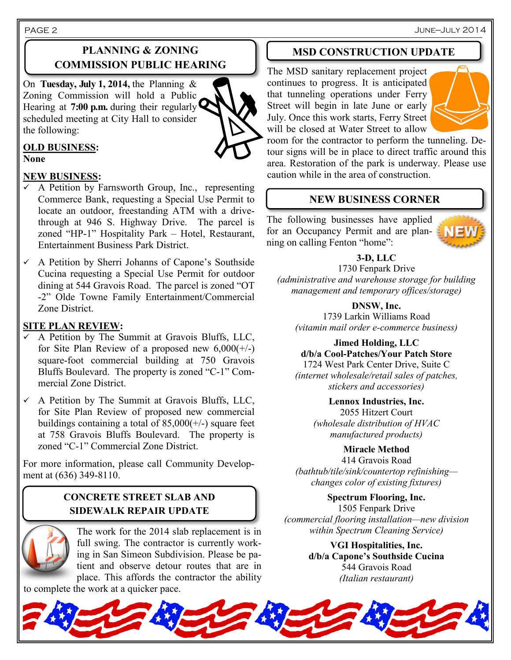June—July 2014

# **PLANNING & ZONING COMMISSION PUBLIC HEARING**

On **Tuesday, July 1, 2014,** the Planning & Zoning Commission will hold a Public Hearing at **7:00 p.m.** during their regularly scheduled meeting at City Hall to consider the following:



### **OLD BUSINESS:**

**None**

PAGE 2

#### **NEW BUSINESS:**

- $\checkmark$  A Petition by Farnsworth Group, Inc., representing Commerce Bank, requesting a Special Use Permit to locate an outdoor, freestanding ATM with a drivethrough at 946 S. Highway Drive. The parcel is zoned "HP-1" Hospitality Park – Hotel, Restaurant, Entertainment Business Park District.
- A Petition by Sherri Johanns of Capone's Southside Cucina requesting a Special Use Permit for outdoor dining at 544 Gravois Road. The parcel is zoned "OT -2" Olde Towne Family Entertainment/Commercial Zone District.

### **SITE PLAN REVIEW:**

- $\checkmark$  A Petition by The Summit at Gravois Bluffs, LLC, for Site Plan Review of a proposed new  $6,000(+/-)$ square-foot commercial building at 750 Gravois Bluffs Boulevard. The property is zoned "C-1" Commercial Zone District.
- $\checkmark$  A Petition by The Summit at Gravois Bluffs, LLC, for Site Plan Review of proposed new commercial buildings containing a total of  $85,000(+/-)$  square feet at 758 Gravois Bluffs Boulevard. The property is zoned "C-1" Commercial Zone District.

For more information, please call Community Development at (636) 349-8110.

# **CONCRETE STREET SLAB AND SIDEWALK REPAIR UPDATE**



The work for the 2014 slab replacement is in full swing. The contractor is currently working in San Simeon Subdivision. Please be patient and observe detour routes that are in place. This affords the contractor the ability

to complete the work at a quicker pace.

### **MSD CONSTRUCTION UPDATE**

The MSD sanitary replacement project continues to progress. It is anticipated that tunneling operations under Ferry Street will begin in late June or early July. Once this work starts, Ferry Street will be closed at Water Street to allow



room for the contractor to perform the tunneling. Detour signs will be in place to direct traffic around this area. Restoration of the park is underway. Please use caution while in the area of construction.

# **NEW BUSINESS CORNER**

The following businesses have applied for an Occupancy Permit and are plan- $\sum_{n=1}^{\infty}$ ning on calling Fenton "home":



**3-D, LLC**

1730 Fenpark Drive *(administrative and warehouse storage for building management and temporary offices/storage)*

**DNSW, Inc.** 1739 Larkin Williams Road *(vitamin mail order e-commerce business)*

**Jimed Holding, LLC d/b/a Cool-Patches/Your Patch Store** 1724 West Park Center Drive, Suite C *(internet wholesale/retail sales of patches, stickers and accessories)*

**Lennox Industries, Inc.**

2055 Hitzert Court *(wholesale distribution of HVAC manufactured products)*

**Miracle Method** 414 Gravois Road *(bathtub/tile/sink/countertop refinishing changes color of existing fixtures)*

**Spectrum Flooring, Inc.** 1505 Fenpark Drive *(commercial flooring installation—new division within Spectrum Cleaning Service)*

> **VGI Hospitalities, Inc. d/b/a Capone's Southside Cucina** 544 Gravois Road *(Italian restaurant)*

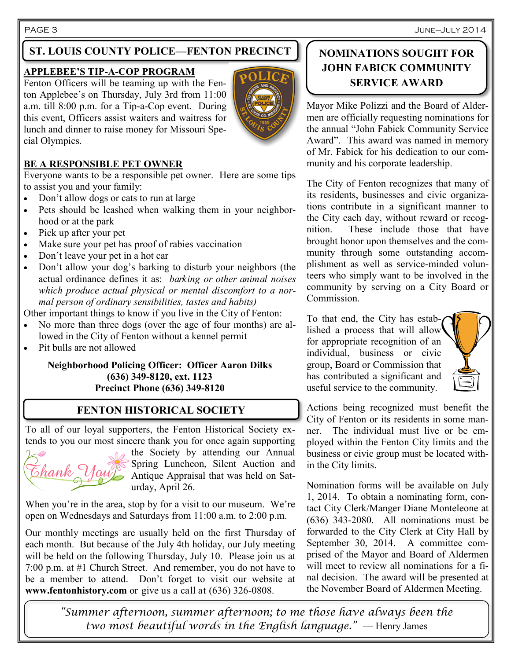PAGE 3 June—July 2014

# **ST. LOUIS COUNTY POLICE—FENTON PRECINCT**

#### **APPLEBEE'S TIP-A-COP PROGRAM**

Fenton Officers will be teaming up with the Fenton Applebee's on Thursday, July 3rd from 11:00 a.m. till 8:00 p.m. for a Tip-a-Cop event. During this event, Officers assist waiters and waitress for lunch and dinner to raise money for Missouri Special Olympics.



#### **BE A RESPONSIBLE PET OWNER**

Everyone wants to be a responsible pet owner. Here are some tips to assist you and your family:

- Don't allow dogs or cats to run at large
- Pets should be leashed when walking them in your neighborhood or at the park
- Pick up after your pet
- Make sure your pet has proof of rabies vaccination
- Don't leave your pet in a hot car
- Don't allow your dog's barking to disturb your neighbors (the actual ordinance defines it as: *barking or other animal noises which produce actual physical or mental discomfort to a normal person of ordinary sensibilities, tastes and habits)*

Other important things to know if you live in the City of Fenton:

- No more than three dogs (over the age of four months) are allowed in the City of Fenton without a kennel permit
- Pit bulls are not allowed

#### **Neighborhood Policing Officer: Officer Aaron Dilks (636) 349-8120, ext. 1123 Precinct Phone (636) 349-8120**

#### **FENTON HISTORICAL SOCIETY**

To all of our loyal supporters, the Fenton Historical Society extends to you our most sincere thank you for once again supporting

the Society by attending our Annual Spring Luncheon, Silent Auction and  $\overline{t}$  hank  $\overline{V}$  and  $\overline{V}$  Antique Appraisal that was held on Saturday, April 26.

When you're in the area, stop by for a visit to our museum. We're open on Wednesdays and Saturdays from 11:00 a.m. to 2:00 p.m.

Our monthly meetings are usually held on the first Thursday of each month. But because of the July 4th holiday, our July meeting will be held on the following Thursday, July 10. Please join us at 7:00 p.m. at #1 Church Street. And remember, you do not have to be a member to attend. Don't forget to visit our website at **www.fentonhistory.com** or give us a call at (636) 326-0808.

# **NOMINATIONS SOUGHT FOR JOHN FABICK COMMUNITY SERVICE AWARD**

Mayor Mike Polizzi and the Board of Aldermen are officially requesting nominations for the annual "John Fabick Community Service Award". This award was named in memory of Mr. Fabick for his dedication to our community and his corporate leadership.

The City of Fenton recognizes that many of its residents, businesses and civic organizations contribute in a significant manner to the City each day, without reward or recognition. These include those that have brought honor upon themselves and the community through some outstanding accomplishment as well as service-minded volunteers who simply want to be involved in the community by serving on a City Board or Commission.

To that end, the City has established a process that will allow for appropriate recognition of an individual, business or civic group, Board or Commission that has contributed a significant and useful service to the community.



Actions being recognized must benefit the City of Fenton or its residents in some manner. The individual must live or be employed within the Fenton City limits and the business or civic group must be located within the City limits.

Nomination forms will be available on July 1, 2014. To obtain a nominating form, contact City Clerk/Manger Diane Monteleone at (636) 343-2080. All nominations must be forwarded to the City Clerk at City Hall by September 30, 2014. A committee comprised of the Mayor and Board of Aldermen will meet to review all nominations for a final decision. The award will be presented at the November Board of Aldermen Meeting.

*"Summer afternoon, summer afternoon; to me those have always been the two most beautiful words in the English language."* — Henry James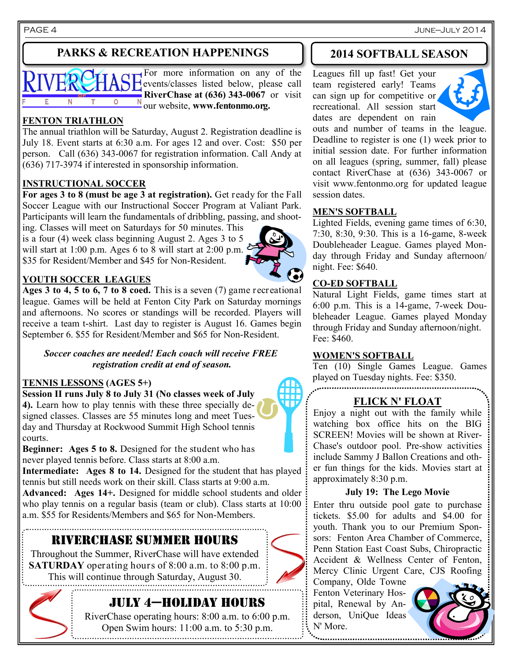# **PARKS & RECREATION HAPPENINGS**



For more information on any of the events/classes listed below, please call **RiverChase at (636) 343-0067** or visit our website, **www.fentonmo.org.**

### **FENTON TRIATHLON**

The annual triathlon will be Saturday, August 2. Registration deadline is July 18. Event starts at 6:30 a.m. For ages 12 and over. Cost: \$50 per person. Call (636) 343-0067 for registration information. Call Andy at (636) 717-3974 if interested in sponsorship information.

#### **INSTRUCTIONAL SOCCER**

**For ages 3 to 8 (must be age 3 at registration).** Get ready for the Fall Soccer League with our Instructional Soccer Program at Valiant Park. Participants will learn the fundamentals of dribbling, passing, and shoot-

ing. Classes will meet on Saturdays for 50 minutes. This is a four (4) week class beginning August 2. Ages 3 to 5 will start at 1:00 p.m. Ages 6 to 8 will start at 2:00 p.m. \$35 for Resident/Member and \$45 for Non-Resident.



#### **YOUTH SOCCER LEAGUES**

**Ages 3 to 4, 5 to 6, 7 to 8 coed.** This is a seven (7) game recreational league. Games will be held at Fenton City Park on Saturday mornings and afternoons. No scores or standings will be recorded. Players will receive a team t-shirt. Last day to register is August 16. Games begin September 6. \$55 for Resident/Member and \$65 for Non-Resident.

*Soccer coaches are needed! Each coach will receive FREE registration credit at end of season.*

#### **TENNIS LESSONS (AGES 5+)**

**Session II runs July 8 to July 31 (No classes week of July 4).** Learn how to play tennis with these three specially designed classes. Classes are 55 minutes long and meet Tuesday and Thursday at Rockwood Summit High School tennis courts.

**Beginner:** Ages 5 to 8. Designed for the student who has never played tennis before. Class starts at 8:00 a.m.

**Intermediate: Ages 8 to 14.** Designed for the student that has played tennis but still needs work on their skill. Class starts at 9:00 a.m.

**Advanced: Ages 14+.** Designed for middle school students and older who play tennis on a regular basis (team or club). Class starts at 10:00 a.m. \$55 for Residents/Members and \$65 for Non-Members.

# RIVERCHASE SUMMER HOURS

Throughout the Summer, RiverChase will have extended **SATURDAY** operating hours of 8:00 a.m. to 8:00 p.m. This will continue through Saturday, August 30.

# July 4—holiday hours

RiverChase operating hours: 8:00 a.m. to 6:00 p.m. Open Swim hours: 11:00 a.m. to 5:30 p.m.

# **2014 SOFTBALL SEASON**

Leagues fill up fast! Get your team registered early! Teams can sign up for competitive or recreational. All session start dates are dependent on rain



outs and number of teams in the league. Deadline to register is one (1) week prior to initial session date. For further information on all leagues (spring, summer, fall) please contact RiverChase at (636) 343-0067 or visit www.fentonmo.org for updated league session dates.

#### **MEN'S SOFTBALL**

Lighted Fields, evening game times of 6:30, 7:30, 8:30, 9:30. This is a 16-game, 8-week Doubleheader League. Games played Monday through Friday and Sunday afternoon/ night. Fee: \$640.

#### **CO-ED SOFTBALL**

Natural Light Fields, game times start at 6:00 p.m. This is a 14-game, 7-week Doubleheader League. Games played Monday through Friday and Sunday afternoon/night. Fee: \$460.

#### **WOMEN'S SOFTBALL**

Ten (10) Single Games League. Games played on Tuesday nights. Fee: \$350.

# **FLICK N' FLOAT**

Enjoy a night out with the family while watching box office hits on the BIG SCREEN! Movies will be shown at River-Chase's outdoor pool. Pre-show activities include Sammy J Ballon Creations and other fun things for the kids. Movies start at approximately 8:30 p.m.

#### **July 19: The Lego Movie**

Enter thru outside pool gate to purchase tickets. \$5.00 for adults and \$4.00 for youth. Thank you to our Premium Sponsors: Fenton Area Chamber of Commerce, Penn Station East Coast Subs, Chiropractic Accident & Wellness Center of Fenton, Mercy Clinic Urgent Care, CJS Roofing

Company, Olde Towne Fenton Veterinary Hospital, Renewal by Anderson, UniQue Ideas N' More.





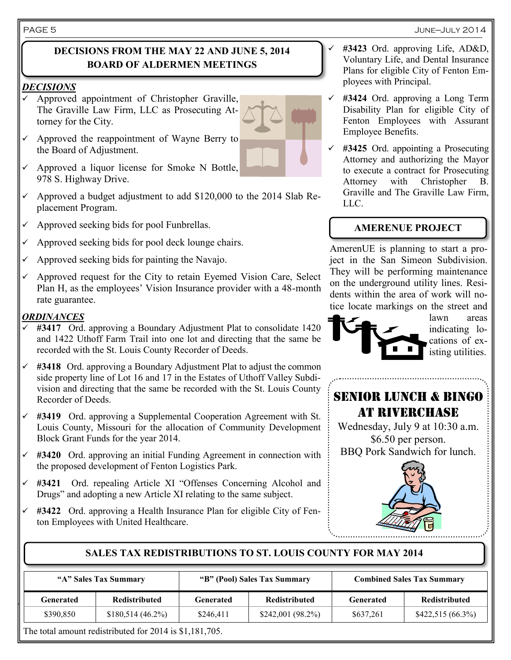### **DECISIONS FROM THE MAY 22 AND JUNE 5, 2014 BOARD OF ALDERMEN MEETINGS**

#### *DECISIONS*

- Approved appointment of Christopher Graville, The Graville Law Firm, LLC as Prosecuting Attorney for the City.
- Approved the reappointment of Wayne Berry to the Board of Adjustment.
- Approved a liquor license for Smoke N Bottle, 978 S. Highway Drive.
- Approved a budget adjustment to add \$120,000 to the 2014 Slab Replacement Program.
- Approved seeking bids for pool Funbrellas.
- Approved seeking bids for pool deck lounge chairs.
- Approved seeking bids for painting the Navajo.
- Approved request for the City to retain Eyemed Vision Care, Select Plan H, as the employees' Vision Insurance provider with a 48-month rate guarantee.

#### *ORDINANCES*

- **#3417** Ord. approving a Boundary Adjustment Plat to consolidate 1420 and 1422 Uthoff Farm Trail into one lot and directing that the same be recorded with the St. Louis County Recorder of Deeds.
- **#3418** Ord. approving a Boundary Adjustment Plat to adjust the common side property line of Lot 16 and 17 in the Estates of Uthoff Valley Subdivision and directing that the same be recorded with the St. Louis County Recorder of Deeds.
- **#3419** Ord. approving a Supplemental Cooperation Agreement with St. Louis County, Missouri for the allocation of Community Development Block Grant Funds for the year 2014.
- **#3420** Ord. approving an initial Funding Agreement in connection with the proposed development of Fenton Logistics Park.
- **#3421** Ord. repealing Article XI "Offenses Concerning Alcohol and Drugs" and adopting a new Article XI relating to the same subject.
- **#3422** Ord. approving a Health Insurance Plan for eligible City of Fenton Employees with United Healthcare.
- **#3423** Ord. approving Life, AD&D, Voluntary Life, and Dental Insurance Plans for eligible City of Fenton Employees with Principal.
- **#3424** Ord. approving a Long Term Disability Plan for eligible City of Fenton Employees with Assurant Employee Benefits.
- **#3425** Ord. appointing a Prosecuting Attorney and authorizing the Mayor to execute a contract for Prosecuting Attorney with Christopher B. Graville and The Graville Law Firm, LLC.

#### **AMERENUE PROJECT**

AmerenUE is planning to start a project in the San Simeon Subdivision. They will be performing maintenance on the underground utility lines. Residents within the area of work will notice locate markings on the street and



lawn areas indicating locations of existing utilities.

SENIOR LUNCH & BINGO AT RIVERCHASE

Wednesday, July 9 at 10:30 a.m. \$6.50 per person. BBQ Pork Sandwich for lunch.



# **SALES TAX REDISTRIBUTIONS TO ST. LOUIS COUNTY FOR MAY 2014**

| "A" Sales Tax Summary |                                                       | "B" (Pool) Sales Tax Summary |                      | <b>Combined Sales Tax Summary</b> |                      |
|-----------------------|-------------------------------------------------------|------------------------------|----------------------|-----------------------------------|----------------------|
| Generated             | <b>Redistributed</b>                                  | Generated                    | <b>Redistributed</b> | Generated                         | <b>Redistributed</b> |
| \$390,850             | $$180,514(46.2\%)$                                    | \$246.411                    | $$242,001 (98.2\%)$  | \$637,261                         | $$422,515(66.3\%)$   |
|                       | $\cdots$ $\cdots$ $\cdots$ $\cdots$ $\cdots$ $\cdots$ |                              |                      |                                   |                      |

The total amount redistributed for 2014 is \$1,181,705.